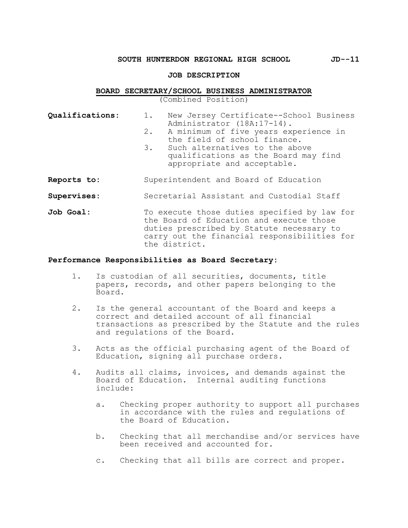# **SOUTH HUNTERDON REGIONAL HIGH SCHOOL JD--11**

#### **JOB DESCRIPTION**

### **BOARD SECRETARY/SCHOOL BUSINESS ADMINISTRATOR**

(Combined Position)

- **Qualifications:** 1. New Jersey Certificate--School Business Administrator (18A:17-14).
	- 2. A minimum of five years experience in the field of school finance.
	- 3. Such alternatives to the above qualifications as the Board may find appropriate and acceptable.
- **Reports to:** Superintendent and Board of Education
- **Supervises:** Secretarial Assistant and Custodial Staff
- Job Goal: To execute those duties specified by law for the Board of Education and execute those duties prescribed by Statute necessary to carry out the financial responsibilities for the district.

### **Performance Responsibilities as Board Secretary:**

- 1. Is custodian of all securities, documents, title papers, records, and other papers belonging to the Board.
- 2. Is the general accountant of the Board and keeps a correct and detailed account of all financial transactions as prescribed by the Statute and the rules and regulations of the Board.
- 3. Acts as the official purchasing agent of the Board of Education, signing all purchase orders.
- 4. Audits all claims, invoices, and demands against the Board of Education. Internal auditing functions include:
	- a. Checking proper authority to support all purchases in accordance with the rules and regulations of the Board of Education.
	- b. Checking that all merchandise and/or services have been received and accounted for.
	- c. Checking that all bills are correct and proper.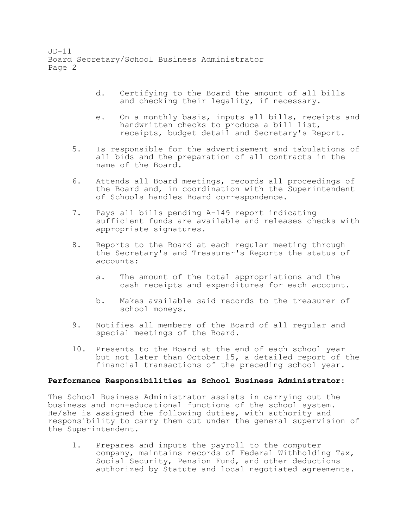JD-11 Board Secretary/School Business Administrator Page 2

- d. Certifying to the Board the amount of all bills and checking their legality, if necessary.
- e. On a monthly basis, inputs all bills, receipts and handwritten checks to produce a bill list, receipts, budget detail and Secretary's Report.
- 5. Is responsible for the advertisement and tabulations of all bids and the preparation of all contracts in the name of the Board.
- 6. Attends all Board meetings, records all proceedings of the Board and, in coordination with the Superintendent of Schools handles Board correspondence.
- 7. Pays all bills pending A-149 report indicating sufficient funds are available and releases checks with appropriate signatures.
- 8. Reports to the Board at each regular meeting through the Secretary's and Treasurer's Reports the status of accounts:
	- a. The amount of the total appropriations and the cash receipts and expenditures for each account.
	- b. Makes available said records to the treasurer of school moneys.
- 9. Notifies all members of the Board of all regular and special meetings of the Board.
- 10. Presents to the Board at the end of each school year but not later than October 15, a detailed report of the financial transactions of the preceding school year.

## **Performance Responsibilities as School Business Administrator:**

The School Business Administrator assists in carrying out the business and non-educational functions of the school system. He/she is assigned the following duties, with authority and responsibility to carry them out under the general supervision of the Superintendent.

 1. Prepares and inputs the payroll to the computer company, maintains records of Federal Withholding Tax, Social Security, Pension Fund, and other deductions authorized by Statute and local negotiated agreements.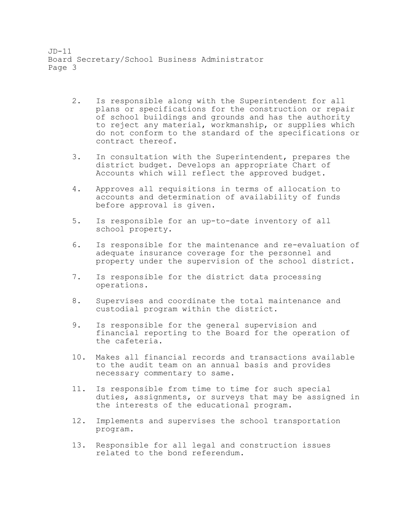JD-11 Board Secretary/School Business Administrator Page 3

- 2. Is responsible along with the Superintendent for all plans or specifications for the construction or repair of school buildings and grounds and has the authority to reject any material, workmanship, or supplies which do not conform to the standard of the specifications or contract thereof.
- 3. In consultation with the Superintendent, prepares the district budget. Develops an appropriate Chart of Accounts which will reflect the approved budget.
- 4. Approves all requisitions in terms of allocation to accounts and determination of availability of funds before approval is given.
- 5. Is responsible for an up-to-date inventory of all school property.
- 6. Is responsible for the maintenance and re-evaluation of adequate insurance coverage for the personnel and property under the supervision of the school district.
- 7. Is responsible for the district data processing operations.
- 8. Supervises and coordinate the total maintenance and custodial program within the district.
- 9. Is responsible for the general supervision and financial reporting to the Board for the operation of the cafeteria.
- 10. Makes all financial records and transactions available to the audit team on an annual basis and provides necessary commentary to same.
- 11. Is responsible from time to time for such special duties, assignments, or surveys that may be assigned in the interests of the educational program.
- 12. Implements and supervises the school transportation program.
- 13. Responsible for all legal and construction issues related to the bond referendum.